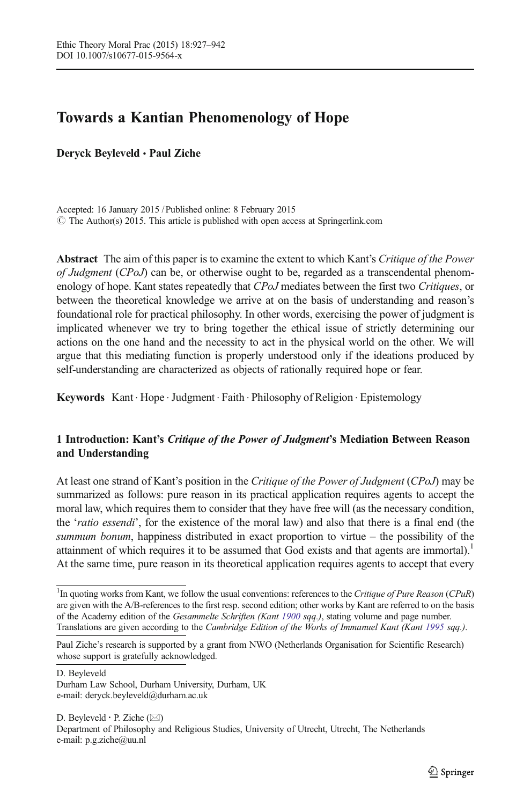# Towards a Kantian Phenomenology of Hope

Deryck Beyleveld · Paul Ziche

Accepted: 16 January 2015 / Published online: 8 February 2015  $\odot$  The Author(s) 2015. This article is published with open access at Springerlink.com

Abstract The aim of this paper is to examine the extent to which Kant's Critique of the Power of Judgment ( $CPoJ$ ) can be, or otherwise ought to be, regarded as a transcendental phenomenology of hope. Kant states repeatedly that CPoJ mediates between the first two Critiques, or between the theoretical knowledge we arrive at on the basis of understanding and reason's foundational role for practical philosophy. In other words, exercising the power of judgment is implicated whenever we try to bring together the ethical issue of strictly determining our actions on the one hand and the necessity to act in the physical world on the other. We will argue that this mediating function is properly understood only if the ideations produced by self-understanding are characterized as objects of rationally required hope or fear.

Keywords Kant . Hope . Judgment . Faith . Philosophy of Religion . Epistemology

# 1 Introduction: Kant's Critique of the Power of Judgment's Mediation Between Reason and Understanding

At least one strand of Kant's position in the Critique of the Power of Judgment (CPoJ) may be summarized as follows: pure reason in its practical application requires agents to accept the moral law, which requires them to consider that they have free will (as the necessary condition, the 'ratio essendi', for the existence of the moral law) and also that there is a final end (the summum bonum, happiness distributed in exact proportion to virtue – the possibility of the attainment of which requires it to be assumed that God exists and that agents are immortal).<sup>1</sup> At the same time, pure reason in its theoretical application requires agents to accept that every

D. Beyleveld

D. Beyleveld  $\cdot$  P. Ziche ( $\boxtimes$ )

Department of Philosophy and Religious Studies, University of Utrecht, Utrecht, The Netherlands e-mail: p.g.ziche@uu.nl

<sup>&</sup>lt;sup>1</sup>In quoting works from Kant, we follow the usual conventions: references to the Critique of Pure Reason (CPuR) are given with the A/B-references to the first resp. second edition; other works by Kant are referred to on the basis of the Academy edition of the Gesammelte Schriften (Kant [1900](#page-15-0) sqq.), stating volume and page number. Translations are given according to the *Cambridge Edition of the Works of Immanuel Kant (Kant [1995](#page-15-0) sqq.)*.

Paul Ziche's research is supported by a grant from NWO (Netherlands Organisation for Scientific Research) whose support is gratefully acknowledged.

Durham Law School, Durham University, Durham, UK e-mail: deryck.beyleveld@durham.ac.uk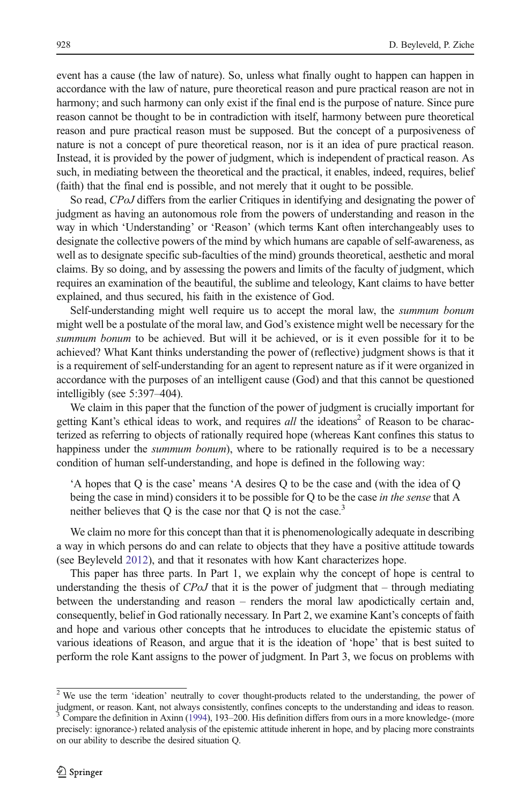event has a cause (the law of nature). So, unless what finally ought to happen can happen in accordance with the law of nature, pure theoretical reason and pure practical reason are not in harmony; and such harmony can only exist if the final end is the purpose of nature. Since pure reason cannot be thought to be in contradiction with itself, harmony between pure theoretical reason and pure practical reason must be supposed. But the concept of a purposiveness of nature is not a concept of pure theoretical reason, nor is it an idea of pure practical reason. Instead, it is provided by the power of judgment, which is independent of practical reason. As such, in mediating between the theoretical and the practical, it enables, indeed, requires, belief (faith) that the final end is possible, and not merely that it ought to be possible.

So read, CPoJ differs from the earlier Critiques in identifying and designating the power of judgment as having an autonomous role from the powers of understanding and reason in the way in which 'Understanding' or 'Reason' (which terms Kant often interchangeably uses to designate the collective powers of the mind by which humans are capable of self-awareness, as well as to designate specific sub-faculties of the mind) grounds theoretical, aesthetic and moral claims. By so doing, and by assessing the powers and limits of the faculty of judgment, which requires an examination of the beautiful, the sublime and teleology, Kant claims to have better explained, and thus secured, his faith in the existence of God.

Self-understanding might well require us to accept the moral law, the *summum bonum* might well be a postulate of the moral law, and God's existence might well be necessary for the summum bonum to be achieved. But will it be achieved, or is it even possible for it to be achieved? What Kant thinks understanding the power of (reflective) judgment shows is that it is a requirement of self-understanding for an agent to represent nature as if it were organized in accordance with the purposes of an intelligent cause (God) and that this cannot be questioned intelligibly (see 5:397–404).

We claim in this paper that the function of the power of judgment is crucially important for getting Kant's ethical ideas to work, and requires  $all$  the ideations<sup>2</sup> of Reason to be characterized as referring to objects of rationally required hope (whereas Kant confines this status to happiness under the *summum bonum*), where to be rationally required is to be a necessary condition of human self-understanding, and hope is defined in the following way:

'A hopes that Q is the case' means 'A desires Q to be the case and (with the idea of Q being the case in mind) considers it to be possible for Q to be the case in the sense that A neither believes that Q is the case nor that Q is not the case.<sup>3</sup>

We claim no more for this concept than that it is phenomenologically adequate in describing a way in which persons do and can relate to objects that they have a positive attitude towards (see Beyleveld [2012\)](#page-14-0), and that it resonates with how Kant characterizes hope.

This paper has three parts. In Part 1, we explain why the concept of hope is central to understanding the thesis of  $CPoJ$  that it is the power of judgment that – through mediating between the understanding and reason – renders the moral law apodictically certain and, consequently, belief in God rationally necessary. In Part 2, we examine Kant's concepts of faith and hope and various other concepts that he introduces to elucidate the epistemic status of various ideations of Reason, and argue that it is the ideation of 'hope' that is best suited to perform the role Kant assigns to the power of judgment. In Part 3, we focus on problems with

<sup>&</sup>lt;sup>2</sup> We use the term 'ideation' neutrally to cover thought-products related to the understanding, the power of judgment, or reason. Kant, not always consistently, confines concepts to the understanding and ideas to reason. <sup>3</sup> Compare the definition in Axinn [\(1994](#page-14-0)), 193–200. His definition differs from ours in a more knowledge- (more precisely: ignorance-) related analysis of the epistemic attitude inherent in hope, and by placing more constraints on our ability to describe the desired situation Q.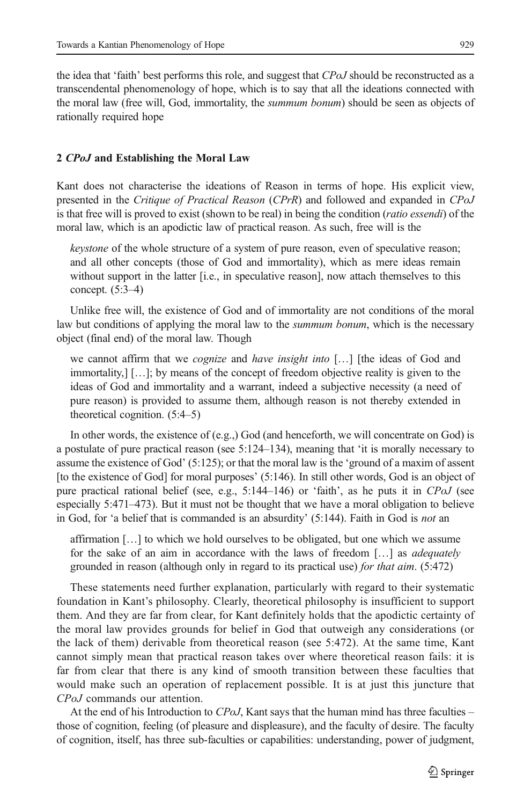the idea that 'faith' best performs this role, and suggest that  $CPoJ$  should be reconstructed as a transcendental phenomenology of hope, which is to say that all the ideations connected with the moral law (free will, God, immortality, the *summum bonum*) should be seen as objects of rationally required hope

# 2 CPoJ and Establishing the Moral Law

Kant does not characterise the ideations of Reason in terms of hope. His explicit view, presented in the Critique of Practical Reason (CPrR) and followed and expanded in CPoJ is that free will is proved to exist (shown to be real) in being the condition *(ratio essendi)* of the moral law, which is an apodictic law of practical reason. As such, free will is the

keystone of the whole structure of a system of pure reason, even of speculative reason; and all other concepts (those of God and immortality), which as mere ideas remain without support in the latter [i.e., in speculative reason], now attach themselves to this concept. (5:3–4)

Unlike free will, the existence of God and of immortality are not conditions of the moral law but conditions of applying the moral law to the *summum bonum*, which is the necessary object (final end) of the moral law. Though

we cannot affirm that we *cognize* and *have insight into* [...] [the ideas of God and immortality,] […]; by means of the concept of freedom objective reality is given to the ideas of God and immortality and a warrant, indeed a subjective necessity (a need of pure reason) is provided to assume them, although reason is not thereby extended in theoretical cognition. (5:4–5)

In other words, the existence of (e.g.,) God (and henceforth, we will concentrate on God) is a postulate of pure practical reason (see 5:124–134), meaning that 'it is morally necessary to assume the existence of God' (5:125); or that the moral law is the 'ground of a maxim of assent [to the existence of God] for moral purposes' (5:146). In still other words, God is an object of pure practical rational belief (see, e.g.,  $5:144-146$ ) or 'faith', as he puts it in  $CP<sub>o</sub>J$  (see especially 5:471–473). But it must not be thought that we have a moral obligation to believe in God, for 'a belief that is commanded is an absurdity' (5:144). Faith in God is *not* an

affirmation […] to which we hold ourselves to be obligated, but one which we assume for the sake of an aim in accordance with the laws of freedom [...] as *adequately* grounded in reason (although only in regard to its practical use) for that aim. (5:472)

These statements need further explanation, particularly with regard to their systematic foundation in Kant's philosophy. Clearly, theoretical philosophy is insufficient to support them. And they are far from clear, for Kant definitely holds that the apodictic certainty of the moral law provides grounds for belief in God that outweigh any considerations (or the lack of them) derivable from theoretical reason (see 5:472). At the same time, Kant cannot simply mean that practical reason takes over where theoretical reason fails: it is far from clear that there is any kind of smooth transition between these faculties that would make such an operation of replacement possible. It is at just this juncture that CPoJ commands our attention.

At the end of his Introduction to  $CPoJ$ , Kant says that the human mind has three faculties – those of cognition, feeling (of pleasure and displeasure), and the faculty of desire. The faculty of cognition, itself, has three sub-faculties or capabilities: understanding, power of judgment,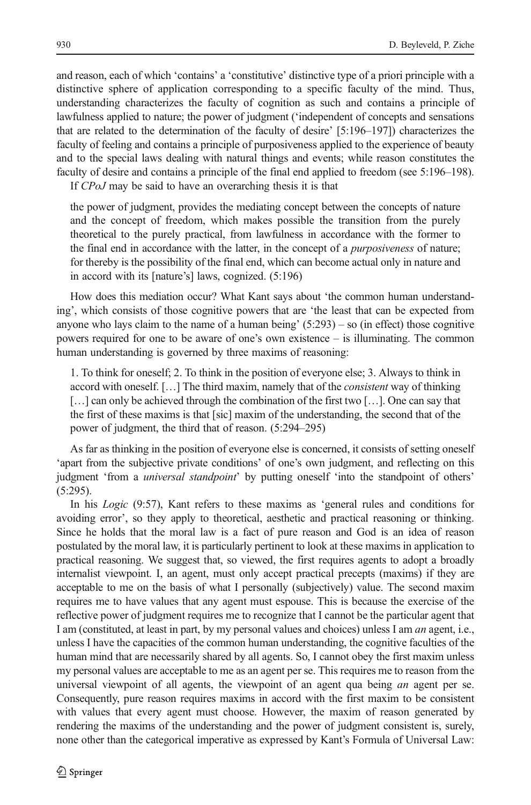and reason, each of which 'contains' a 'constitutive' distinctive type of a priori principle with a distinctive sphere of application corresponding to a specific faculty of the mind. Thus, understanding characterizes the faculty of cognition as such and contains a principle of lawfulness applied to nature; the power of judgment ('independent of concepts and sensations that are related to the determination of the faculty of desire' [5:196–197]) characterizes the faculty of feeling and contains a principle of purposiveness applied to the experience of beauty and to the special laws dealing with natural things and events; while reason constitutes the faculty of desire and contains a principle of the final end applied to freedom (see 5:196–198). If CPoJ may be said to have an overarching thesis it is that

the power of judgment, provides the mediating concept between the concepts of nature and the concept of freedom, which makes possible the transition from the purely theoretical to the purely practical, from lawfulness in accordance with the former to the final end in accordance with the latter, in the concept of a *purposiveness* of nature; for thereby is the possibility of the final end, which can become actual only in nature and in accord with its [nature's] laws, cognized. (5:196)

How does this mediation occur? What Kant says about 'the common human understanding', which consists of those cognitive powers that are 'the least that can be expected from anyone who lays claim to the name of a human being'  $(5:293)$  – so (in effect) those cognitive powers required for one to be aware of one's own existence – is illuminating. The common human understanding is governed by three maxims of reasoning:

1. To think for oneself; 2. To think in the position of everyone else; 3. Always to think in accord with oneself. [...] The third maxim, namely that of the *consistent* way of thinking [...] can only be achieved through the combination of the first two [...]. One can say that the first of these maxims is that [sic] maxim of the understanding, the second that of the power of judgment, the third that of reason. (5:294–295)

As far as thinking in the position of everyone else is concerned, it consists of setting oneself 'apart from the subjective private conditions' of one's own judgment, and reflecting on this judgment 'from a *universal standpoint'* by putting oneself 'into the standpoint of others' (5:295).

In his Logic (9:57), Kant refers to these maxims as 'general rules and conditions for avoiding error', so they apply to theoretical, aesthetic and practical reasoning or thinking. Since he holds that the moral law is a fact of pure reason and God is an idea of reason postulated by the moral law, it is particularly pertinent to look at these maxims in application to practical reasoning. We suggest that, so viewed, the first requires agents to adopt a broadly internalist viewpoint. I, an agent, must only accept practical precepts (maxims) if they are acceptable to me on the basis of what I personally (subjectively) value. The second maxim requires me to have values that any agent must espouse. This is because the exercise of the reflective power of judgment requires me to recognize that I cannot be the particular agent that I am (constituted, at least in part, by my personal values and choices) unless I am an agent, i.e., unless I have the capacities of the common human understanding, the cognitive faculties of the human mind that are necessarily shared by all agents. So, I cannot obey the first maxim unless my personal values are acceptable to me as an agent per se. This requires me to reason from the universal viewpoint of all agents, the viewpoint of an agent qua being *an* agent per se. Consequently, pure reason requires maxims in accord with the first maxim to be consistent with values that every agent must choose. However, the maxim of reason generated by rendering the maxims of the understanding and the power of judgment consistent is, surely, none other than the categorical imperative as expressed by Kant's Formula of Universal Law: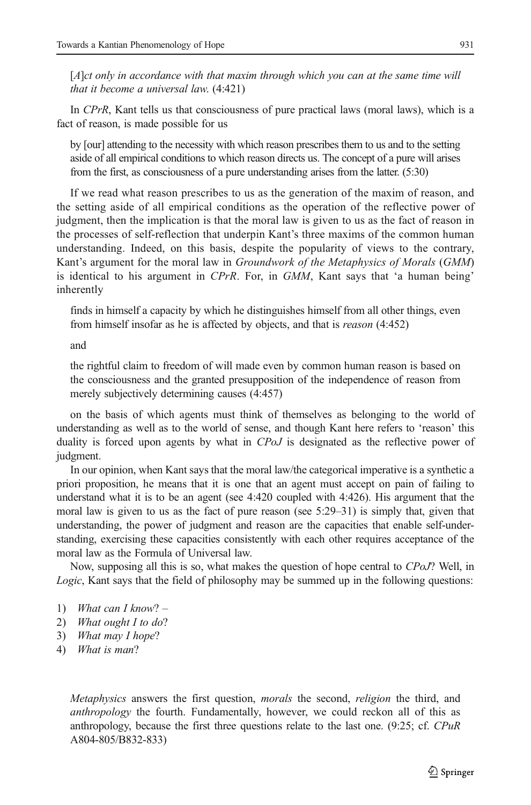[A]ct only in accordance with that maxim through which you can at the same time will that it become a universal law. (4:421)

In CPrR, Kant tells us that consciousness of pure practical laws (moral laws), which is a fact of reason, is made possible for us

by [our] attending to the necessity with which reason prescribes them to us and to the setting aside of all empirical conditions to which reason directs us. The concept of a pure will arises from the first, as consciousness of a pure understanding arises from the latter. (5:30)

If we read what reason prescribes to us as the generation of the maxim of reason, and the setting aside of all empirical conditions as the operation of the reflective power of judgment, then the implication is that the moral law is given to us as the fact of reason in the processes of self-reflection that underpin Kant's three maxims of the common human understanding. Indeed, on this basis, despite the popularity of views to the contrary, Kant's argument for the moral law in Groundwork of the Metaphysics of Morals (GMM) is identical to his argument in CPrR. For, in GMM, Kant says that 'a human being' inherently

finds in himself a capacity by which he distinguishes himself from all other things, even from himself insofar as he is affected by objects, and that is reason (4:452)

and

the rightful claim to freedom of will made even by common human reason is based on the consciousness and the granted presupposition of the independence of reason from merely subjectively determining causes (4:457)

on the basis of which agents must think of themselves as belonging to the world of understanding as well as to the world of sense, and though Kant here refers to 'reason' this duality is forced upon agents by what in  $CPOJ$  is designated as the reflective power of judgment.

In our opinion, when Kant says that the moral law/the categorical imperative is a synthetic a priori proposition, he means that it is one that an agent must accept on pain of failing to understand what it is to be an agent (see 4:420 coupled with 4:426). His argument that the moral law is given to us as the fact of pure reason (see 5:29–31) is simply that, given that understanding, the power of judgment and reason are the capacities that enable self-understanding, exercising these capacities consistently with each other requires acceptance of the moral law as the Formula of Universal law.

Now, supposing all this is so, what makes the question of hope central to CPoJ? Well, in Logic, Kant says that the field of philosophy may be summed up in the following questions:

- 1) What can I know?  $-$
- 2) What ought I to do?
- 3) What may I hope?
- 4) What is man?

Metaphysics answers the first question, morals the second, religion the third, and anthropology the fourth. Fundamentally, however, we could reckon all of this as anthropology, because the first three questions relate to the last one. (9:25; cf.  $CPuR$ A804-805/B832-833)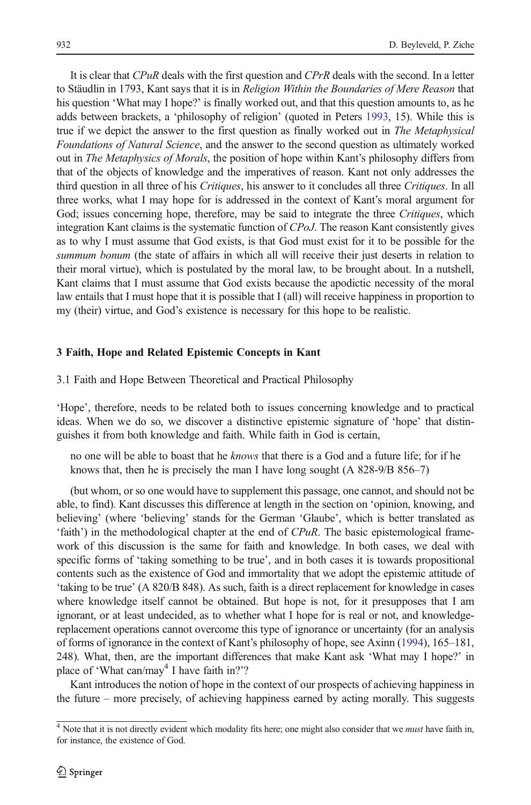It is clear that  $CPuR$  deals with the first question and  $CPrR$  deals with the second. In a letter to Stäudlin in 1793, Kant says that it is in Religion Within the Boundaries of Mere Reason that his question 'What may I hope?' is finally worked out, and that this question amounts to, as he adds between brackets, a 'philosophy of religion' (quoted in Peters [1993](#page-15-0), 15). While this is true if we depict the answer to the first question as finally worked out in The Metaphysical Foundations of Natural Science, and the answer to the second question as ultimately worked out in *The Metaphysics of Morals*, the position of hope within Kant's philosophy differs from that of the objects of knowledge and the imperatives of reason. Kant not only addresses the third question in all three of his Critiques, his answer to it concludes all three Critiques. In all three works, what I may hope for is addressed in the context of Kant's moral argument for God; issues concerning hope, therefore, may be said to integrate the three *Critiques*, which integration Kant claims is the systematic function of CPoJ. The reason Kant consistently gives as to why I must assume that God exists, is that God must exist for it to be possible for the summum bonum (the state of affairs in which all will receive their just deserts in relation to their moral virtue), which is postulated by the moral law, to be brought about. In a nutshell, Kant claims that I must assume that God exists because the apodictic necessity of the moral law entails that I must hope that it is possible that I (all) will receive happiness in proportion to my (their) virtue, and God's existence is necessary for this hope to be realistic.

# 3 Faith, Hope and Related Epistemic Concepts in Kant

3.1 Faith and Hope Between Theoretical and Practical Philosophy

'Hope', therefore, needs to be related both to issues concerning knowledge and to practical ideas. When we do so, we discover a distinctive epistemic signature of 'hope' that distinguishes it from both knowledge and faith. While faith in God is certain,

no one will be able to boast that he knows that there is a God and a future life; for if he knows that, then he is precisely the man I have long sought (A 828-9/B 856–7)

(but whom, or so one would have to supplement this passage, one cannot, and should not be able, to find). Kant discusses this difference at length in the section on 'opinion, knowing, and believing' (where 'believing' stands for the German 'Glaube', which is better translated as 'faith') in the methodological chapter at the end of  $CPuR$ . The basic epistemological framework of this discussion is the same for faith and knowledge. In both cases, we deal with specific forms of 'taking something to be true', and in both cases it is towards propositional contents such as the existence of God and immortality that we adopt the epistemic attitude of 'taking to be true' (A 820/B 848). As such, faith is a direct replacement for knowledge in cases where knowledge itself cannot be obtained. But hope is not, for it presupposes that I am ignorant, or at least undecided, as to whether what I hope for is real or not, and knowledgereplacement operations cannot overcome this type of ignorance or uncertainty (for an analysis of forms of ignorance in the context of Kant's philosophy of hope, see Axinn [\(1994](#page-14-0)), 165–181, 248). What, then, are the important differences that make Kant ask 'What may I hope?' in place of 'What can/may<sup>4</sup> I have faith in?'?

Kant introduces the notion of hope in the context of our prospects of achieving happiness in the future – more precisely, of achieving happiness earned by acting morally. This suggests

 $4$  Note that it is not directly evident which modality fits here; one might also consider that we *must* have faith in, for instance, the existence of God.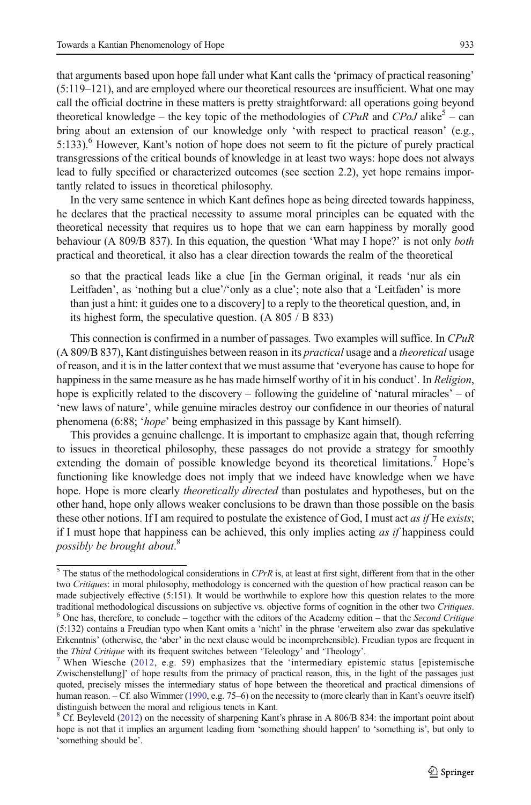that arguments based upon hope fall under what Kant calls the 'primacy of practical reasoning' (5:119–121), and are employed where our theoretical resources are insufficient. What one may call the official doctrine in these matters is pretty straightforward: all operations going beyond theoretical knowledge – the key topic of the methodologies of CPuR and CPoJ alike<sup>5</sup> – can bring about an extension of our knowledge only 'with respect to practical reason' (e.g., 5:133).<sup>6</sup> However, Kant's notion of hope does not seem to fit the picture of purely practical transgressions of the critical bounds of knowledge in at least two ways: hope does not always lead to fully specified or characterized outcomes (see section 2.2), yet hope remains importantly related to issues in theoretical philosophy.

In the very same sentence in which Kant defines hope as being directed towards happiness, he declares that the practical necessity to assume moral principles can be equated with the theoretical necessity that requires us to hope that we can earn happiness by morally good behaviour (A 809/B 837). In this equation, the question 'What may I hope?' is not only *both* practical and theoretical, it also has a clear direction towards the realm of the theoretical

so that the practical leads like a clue [in the German original, it reads 'nur als ein Leitfaden', as 'nothing but a clue'/'only as a clue'; note also that a 'Leitfaden' is more than just a hint: it guides one to a discovery] to a reply to the theoretical question, and, in its highest form, the speculative question. (A 805 / B 833)

This connection is confirmed in a number of passages. Two examples will suffice. In CPuR (A 809/B 837), Kant distinguishes between reason in its *practical* usage and a *theoretical* usage of reason, and it is in the latter context that we must assume that 'everyone has cause to hope for happiness in the same measure as he has made himself worthy of it in his conduct'. In Religion, hope is explicitly related to the discovery – following the guideline of 'natural miracles' – of 'new laws of nature', while genuine miracles destroy our confidence in our theories of natural phenomena (6:88; 'hope' being emphasized in this passage by Kant himself).

This provides a genuine challenge. It is important to emphasize again that, though referring to issues in theoretical philosophy, these passages do not provide a strategy for smoothly extending the domain of possible knowledge beyond its theoretical limitations.<sup>7</sup> Hope's functioning like knowledge does not imply that we indeed have knowledge when we have hope. Hope is more clearly *theoretically directed* than postulates and hypotheses, but on the other hand, hope only allows weaker conclusions to be drawn than those possible on the basis these other notions. If I am required to postulate the existence of God, I must act as if He exists; if I must hope that happiness can be achieved, this only implies acting  $as$  if happiness could possibly be brought about. 8

 $\frac{1}{5}$  The status of the methodological considerations in CPrR is, at least at first sight, different from that in the other two Critiques: in moral philosophy, methodology is concerned with the question of how practical reason can be made subjectively effective (5:151). It would be worthwhile to explore how this question relates to the more traditional methodological discussions on subjective vs. objective forms of cognition in the other two *Critiques*.<br><sup>6</sup> One has, therefore, to conclude – together with the editors of the Academy edition – that the *Second* (5:132) contains a Freudian typo when Kant omits a 'nicht' in the phrase 'erweitern also zwar das spekulative Erkenntnis' (otherwise, the 'aber' in the next clause would be incomprehensible). Freudian typos are frequent in the *Third Critique* with its frequent switches between 'Teleology' and 'Theology'.<br><sup>7</sup> When Wiesche ([2012,](#page-15-0) e.g. 59) emphasizes that the 'intermediary epistemic status [epistemische

Zwischenstellung]' of hope results from the primacy of practical reason, this, in the light of the passages just quoted, precisely misses the intermediary status of hope between the theoretical and practical dimensions of human reason. – Cf. also Wimmer ([1990](#page-15-0), e.g. 75–6) on the necessity to (more clearly than in Kant's oeuvre itself) distinguish between the moral and religious tenets in Kant.

<sup>8</sup> Cf. Beyleveld ([2012](#page-14-0)) on the necessity of sharpening Kant's phrase in A 806/B 834: the important point about hope is not that it implies an argument leading from 'something should happen' to 'something is', but only to 'something should be'.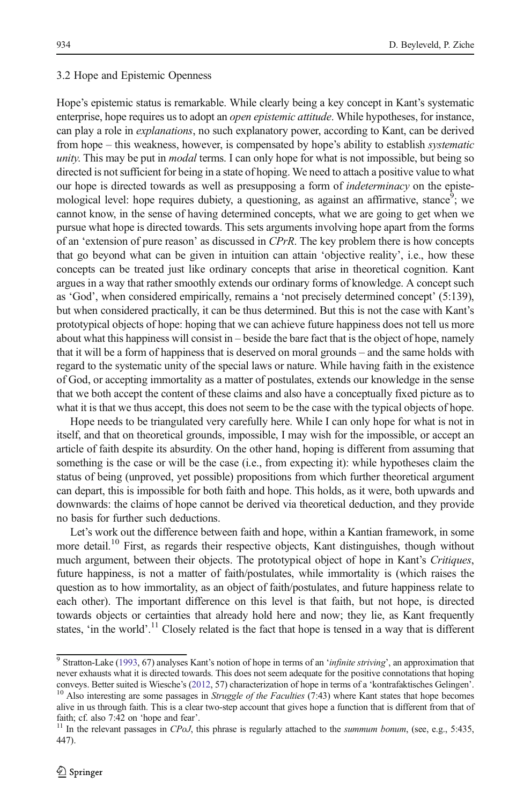#### 3.2 Hope and Epistemic Openness

Hope's epistemic status is remarkable. While clearly being a key concept in Kant's systematic enterprise, hope requires us to adopt an *open epistemic attitude*. While hypotheses, for instance, can play a role in *explanations*, no such explanatory power, according to Kant, can be derived from hope – this weakness, however, is compensated by hope's ability to establish systematic unity. This may be put in *modal* terms. I can only hope for what is not impossible, but being so directed is not sufficient for being in a state of hoping. We need to attach a positive value to what our hope is directed towards as well as presupposing a form of *indeterminacy* on the epistemological level: hope requires dubiety, a questioning, as against an affirmative, stance<sup>9</sup>; we cannot know, in the sense of having determined concepts, what we are going to get when we pursue what hope is directed towards. This sets arguments involving hope apart from the forms of an 'extension of pure reason' as discussed in CPrR. The key problem there is how concepts that go beyond what can be given in intuition can attain 'objective reality', i.e., how these concepts can be treated just like ordinary concepts that arise in theoretical cognition. Kant argues in a way that rather smoothly extends our ordinary forms of knowledge. A concept such as 'God', when considered empirically, remains a 'not precisely determined concept' (5:139), but when considered practically, it can be thus determined. But this is not the case with Kant's prototypical objects of hope: hoping that we can achieve future happiness does not tell us more about what this happiness will consist in – beside the bare fact that is the object of hope, namely that it will be a form of happiness that is deserved on moral grounds – and the same holds with regard to the systematic unity of the special laws or nature. While having faith in the existence of God, or accepting immortality as a matter of postulates, extends our knowledge in the sense that we both accept the content of these claims and also have a conceptually fixed picture as to what it is that we thus accept, this does not seem to be the case with the typical objects of hope.

Hope needs to be triangulated very carefully here. While I can only hope for what is not in itself, and that on theoretical grounds, impossible, I may wish for the impossible, or accept an article of faith despite its absurdity. On the other hand, hoping is different from assuming that something is the case or will be the case (i.e., from expecting it): while hypotheses claim the status of being (unproved, yet possible) propositions from which further theoretical argument can depart, this is impossible for both faith and hope. This holds, as it were, both upwards and downwards: the claims of hope cannot be derived via theoretical deduction, and they provide no basis for further such deductions.

Let's work out the difference between faith and hope, within a Kantian framework, in some more detail.<sup>10</sup> First, as regards their respective objects, Kant distinguishes, though without much argument, between their objects. The prototypical object of hope in Kant's *Critiques*, future happiness, is not a matter of faith/postulates, while immortality is (which raises the question as to how immortality, as an object of faith/postulates, and future happiness relate to each other). The important difference on this level is that faith, but not hope, is directed towards objects or certainties that already hold here and now; they lie, as Kant frequently states, 'in the world'.<sup>11</sup> Closely related is the fact that hope is tensed in a way that is different

 $9$  Stratton-Lake [\(1993,](#page-15-0) 67) analyses Kant's notion of hope in terms of an 'infinite striving', an approximation that never exhausts what it is directed towards. This does not seem adequate for the positive connotations that hoping conveys. Better suited is Wiesche's ([2012](#page-15-0), 57) characterization of hope in terms of a 'kontrafaktisches Gelingen'. <sup>10</sup> Also interesting are some passages in *Struggle of the Faculties* (7:43) where Kant states that hope

alive in us through faith. This is a clear two-step account that gives hope a function that is different from that of faith; cf. also 7:42 on 'hope and fear'.<br><sup>11</sup> In the relevant passages in *CPoJ*, this phrase is regularly attached to the *summum bonum*, (see, e.g., 5:435,

<sup>447).</sup>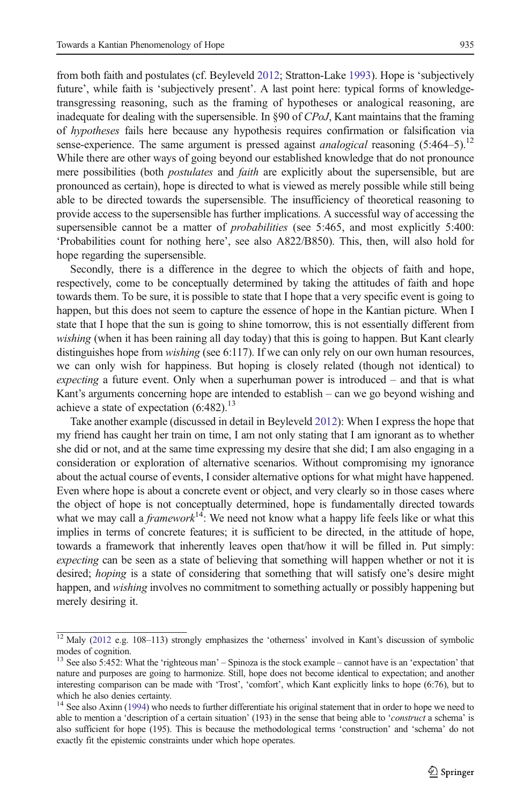from both faith and postulates (cf. Beyleveld [2012](#page-14-0); Stratton-Lake [1993](#page-15-0)). Hope is 'subjectively future', while faith is 'subjectively present'. A last point here: typical forms of knowledgetransgressing reasoning, such as the framing of hypotheses or analogical reasoning, are inadequate for dealing with the supersensible. In  $\&$ 90 of CPoJ, Kant maintains that the framing of hypotheses fails here because any hypothesis requires confirmation or falsification via sense-experience. The same argument is pressed against *analogical* reasoning  $(5:464-5)$ .<sup>12</sup> While there are other ways of going beyond our established knowledge that do not pronounce mere possibilities (both *postulates* and *faith* are explicitly about the supersensible, but are pronounced as certain), hope is directed to what is viewed as merely possible while still being able to be directed towards the supersensible. The insufficiency of theoretical reasoning to provide access to the supersensible has further implications. A successful way of accessing the supersensible cannot be a matter of *probabilities* (see 5:465, and most explicitly 5:400: 'Probabilities count for nothing here', see also A822/B850). This, then, will also hold for hope regarding the supersensible.

Secondly, there is a difference in the degree to which the objects of faith and hope, respectively, come to be conceptually determined by taking the attitudes of faith and hope towards them. To be sure, it is possible to state that I hope that a very specific event is going to happen, but this does not seem to capture the essence of hope in the Kantian picture. When I state that I hope that the sun is going to shine tomorrow, this is not essentially different from wishing (when it has been raining all day today) that this is going to happen. But Kant clearly distinguishes hope from *wishing* (see 6:117). If we can only rely on our own human resources, we can only wish for happiness. But hoping is closely related (though not identical) to expecting a future event. Only when a superhuman power is introduced – and that is what Kant's arguments concerning hope are intended to establish – can we go beyond wishing and achieve a state of expectation  $(6:482).$ <sup>13</sup>

Take another example (discussed in detail in Beyleveld [2012](#page-14-0)): When I express the hope that my friend has caught her train on time, I am not only stating that I am ignorant as to whether she did or not, and at the same time expressing my desire that she did; I am also engaging in a consideration or exploration of alternative scenarios. Without compromising my ignorance about the actual course of events, I consider alternative options for what might have happened. Even where hope is about a concrete event or object, and very clearly so in those cases where the object of hope is not conceptually determined, hope is fundamentally directed towards what we may call a *framework*<sup>14</sup>: We need not know what a happy life feels like or what this implies in terms of concrete features; it is sufficient to be directed, in the attitude of hope, towards a framework that inherently leaves open that/how it will be filled in. Put simply: expecting can be seen as a state of believing that something will happen whether or not it is desired; *hoping* is a state of considering that something that will satisfy one's desire might happen, and *wishing* involves no commitment to something actually or possibly happening but merely desiring it.

<sup>12</sup> Maly ([2012](#page-15-0) e.g. 108–113) strongly emphasizes the 'otherness' involved in Kant's discussion of symbolic modes of cognition.

<sup>&</sup>lt;sup>13</sup> See also 5:452: What the 'righteous man' – Spinoza is the stock example – cannot have is an 'expectation' that nature and purposes are going to harmonize. Still, hope does not become identical to expectation; and another interesting comparison can be made with 'Trost', 'comfort', which Kant explicitly links to hope (6:76), but to which he also denies certainty.

<sup>&</sup>lt;sup>14</sup> See also Axinn ([1994\)](#page-14-0) who needs to further differentiate his original statement that in order to hope we need to able to mention a 'description of a certain situation' (193) in the sense that being able to 'construct a schema' is also sufficient for hope (195). This is because the methodological terms 'construction' and 'schema' do not exactly fit the epistemic constraints under which hope operates.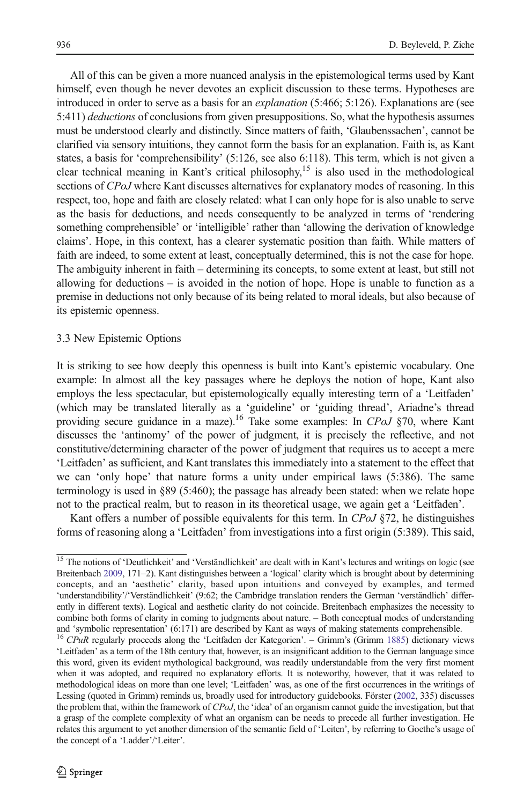All of this can be given a more nuanced analysis in the epistemological terms used by Kant himself, even though he never devotes an explicit discussion to these terms. Hypotheses are introduced in order to serve as a basis for an explanation (5:466; 5:126). Explanations are (see 5:411) *deductions* of conclusions from given presuppositions. So, what the hypothesis assumes must be understood clearly and distinctly. Since matters of faith, 'Glaubenssachen', cannot be clarified via sensory intuitions, they cannot form the basis for an explanation. Faith is, as Kant states, a basis for 'comprehensibility' (5:126, see also 6:118). This term, which is not given a clear technical meaning in Kant's critical philosophy,<sup>15</sup> is also used in the methodological sections of CPoJ where Kant discusses alternatives for explanatory modes of reasoning. In this respect, too, hope and faith are closely related: what I can only hope for is also unable to serve as the basis for deductions, and needs consequently to be analyzed in terms of 'rendering something comprehensible' or 'intelligible' rather than 'allowing the derivation of knowledge claims'. Hope, in this context, has a clearer systematic position than faith. While matters of faith are indeed, to some extent at least, conceptually determined, this is not the case for hope. The ambiguity inherent in faith – determining its concepts, to some extent at least, but still not allowing for deductions – is avoided in the notion of hope. Hope is unable to function as a premise in deductions not only because of its being related to moral ideals, but also because of its epistemic openness.

## 3.3 New Epistemic Options

It is striking to see how deeply this openness is built into Kant's epistemic vocabulary. One example: In almost all the key passages where he deploys the notion of hope, Kant also employs the less spectacular, but epistemologically equally interesting term of a 'Leitfaden' (which may be translated literally as a 'guideline' or 'guiding thread', Ariadne's thread providing secure guidance in a maze).<sup>16</sup> Take some examples: In  $CPOJ \$  570, where Kant discusses the 'antinomy' of the power of judgment, it is precisely the reflective, and not constitutive/determining character of the power of judgment that requires us to accept a mere 'Leitfaden' as sufficient, and Kant translates this immediately into a statement to the effect that we can 'only hope' that nature forms a unity under empirical laws (5:386). The same terminology is used in §89 (5:460); the passage has already been stated: when we relate hope not to the practical realm, but to reason in its theoretical usage, we again get a 'Leitfaden'.

Kant offers a number of possible equivalents for this term. In CPoJ §72, he distinguishes forms of reasoning along a 'Leitfaden' from investigations into a first origin (5:389). This said,

<sup>&</sup>lt;sup>15</sup> The notions of 'Deutlichkeit' and 'Verständlichkeit' are dealt with in Kant's lectures and writings on logic (see Breitenbach [2009](#page-14-0), 171–2). Kant distinguishes between a 'logical' clarity which is brought about by determining concepts, and an 'aesthetic' clarity, based upon intuitions and conveyed by examples, and termed 'understandibility'/'Verständlichkeit' (9:62; the Cambridge translation renders the German 'verständlich' differently in different texts). Logical and aesthetic clarity do not coincide. Breitenbach emphasizes the necessity to combine both forms of clarity in coming to judgments about nature. – Both conceptual modes of understanding and 'symbolic representation' (6:171) are described by Kant as ways of making statements comprehensible.<br><sup>16</sup> CPuR regularly proceeds along the 'Leitfaden der Kategorien'. – Grimm's (Grimm [1885\)](#page-15-0) dictionary views

<sup>&#</sup>x27;Leitfaden' as a term of the 18th century that, however, is an insignificant addition to the German language since this word, given its evident mythological background, was readily understandable from the very first moment when it was adopted, and required no explanatory efforts. It is noteworthy, however, that it was related to methodological ideas on more than one level; 'Leitfaden' was, as one of the first occurrences in the writings of Lessing (quoted in Grimm) reminds us, broadly used for introductory guidebooks. Förster [\(2002,](#page-15-0) 335) discusses the problem that, within the framework of  $CPoJ$ , the 'idea' of an organism cannot guide the investigation, but that a grasp of the complete complexity of what an organism can be needs to precede all further investigation. He relates this argument to yet another dimension of the semantic field of 'Leiten', by referring to Goethe's usage of the concept of a 'Ladder'/'Leiter'.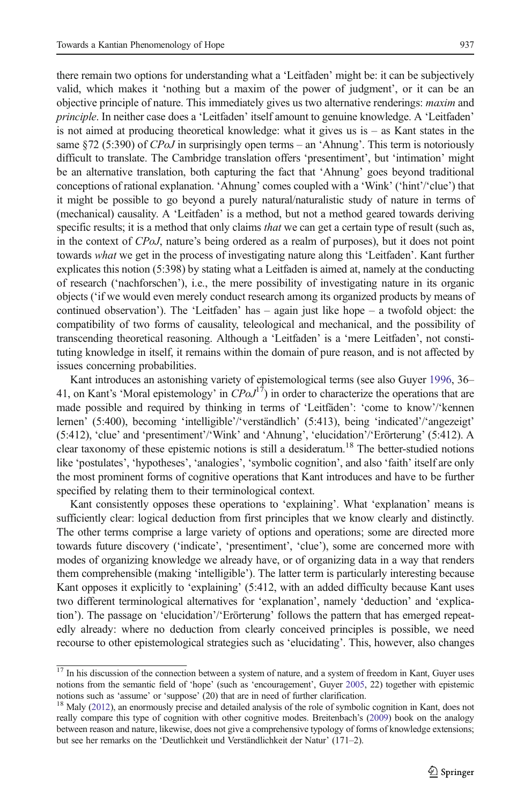there remain two options for understanding what a 'Leitfaden' might be: it can be subjectively valid, which makes it 'nothing but a maxim of the power of judgment', or it can be an objective principle of nature. This immediately gives us two alternative renderings: maxim and principle. In neither case does a 'Leitfaden' itself amount to genuine knowledge. A 'Leitfaden' is not aimed at producing theoretical knowledge: what it gives us is – as Kant states in the same §72 (5:390) of  $CP\omega$  in surprisingly open terms – an 'Ahnung'. This term is notoriously difficult to translate. The Cambridge translation offers 'presentiment', but 'intimation' might be an alternative translation, both capturing the fact that 'Ahnung' goes beyond traditional conceptions of rational explanation. 'Ahnung' comes coupled with a 'Wink' ('hint'/'clue') that it might be possible to go beyond a purely natural/naturalistic study of nature in terms of (mechanical) causality. A 'Leitfaden' is a method, but not a method geared towards deriving specific results; it is a method that only claims *that* we can get a certain type of result (such as, in the context of CPoJ, nature's being ordered as a realm of purposes), but it does not point towards *what* we get in the process of investigating nature along this 'Leitfaden'. Kant further explicates this notion (5:398) by stating what a Leitfaden is aimed at, namely at the conducting of research ('nachforschen'), i.e., the mere possibility of investigating nature in its organic objects ('if we would even merely conduct research among its organized products by means of continued observation'). The 'Leitfaden' has  $-$  again just like hope  $-$  a twofold object: the compatibility of two forms of causality, teleological and mechanical, and the possibility of transcending theoretical reasoning. Although a 'Leitfaden' is a 'mere Leitfaden', not constituting knowledge in itself, it remains within the domain of pure reason, and is not affected by issues concerning probabilities.

Kant introduces an astonishing variety of epistemological terms (see also Guyer [1996,](#page-15-0) 36– 41, on Kant's 'Moral epistemology' in  $CPoJ<sup>17</sup>$  in order to characterize the operations that are made possible and required by thinking in terms of 'Leitfäden': 'come to know'/'kennen lernen' (5:400), becoming 'intelligible'/'verständlich' (5:413), being 'indicated'/'angezeigt' (5:412), 'clue' and 'presentiment'/'Wink' and 'Ahnung', 'elucidation'/'Erörterung' (5:412). A clear taxonomy of these epistemic notions is still a desideratum.<sup>18</sup> The better-studied notions like 'postulates', 'hypotheses', 'analogies', 'symbolic cognition', and also 'faith' itself are only the most prominent forms of cognitive operations that Kant introduces and have to be further specified by relating them to their terminological context.

Kant consistently opposes these operations to 'explaining'. What 'explanation' means is sufficiently clear: logical deduction from first principles that we know clearly and distinctly. The other terms comprise a large variety of options and operations; some are directed more towards future discovery ('indicate', 'presentiment', 'clue'), some are concerned more with modes of organizing knowledge we already have, or of organizing data in a way that renders them comprehensible (making 'intelligible'). The latter term is particularly interesting because Kant opposes it explicitly to 'explaining' (5:412, with an added difficulty because Kant uses two different terminological alternatives for 'explanation', namely 'deduction' and 'explication'). The passage on 'elucidation'/'Erörterung' follows the pattern that has emerged repeatedly already: where no deduction from clearly conceived principles is possible, we need recourse to other epistemological strategies such as 'elucidating'. This, however, also changes

<sup>&</sup>lt;sup>17</sup> In his discussion of the connection between a system of nature, and a system of freedom in Kant, Guyer uses notions from the semantic field of 'hope' (such as 'encouragement', Guyer [2005,](#page-15-0) 22) together with epistemic notions such as 'assume' or 'suppose' (20) that are in need of further clarification.

Maly ([2012](#page-15-0)), an enormously precise and detailed analysis of the role of symbolic cognition in Kant, does not really compare this type of cognition with other cognitive modes. Breitenbach's [\(2009](#page-14-0)) book on the analogy between reason and nature, likewise, does not give a comprehensive typology of forms of knowledge extensions; but see her remarks on the 'Deutlichkeit und Verständlichkeit der Natur' (171–2).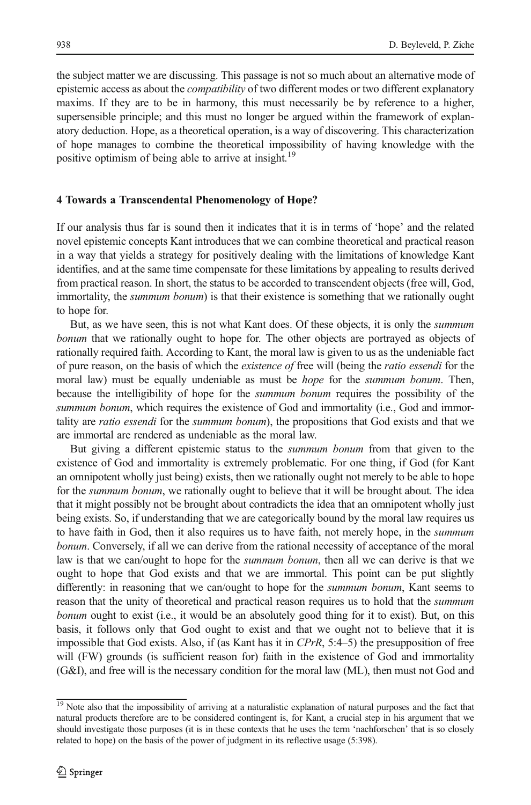the subject matter we are discussing. This passage is not so much about an alternative mode of epistemic access as about the *compatibility* of two different modes or two different explanatory maxims. If they are to be in harmony, this must necessarily be by reference to a higher, supersensible principle; and this must no longer be argued within the framework of explanatory deduction. Hope, as a theoretical operation, is a way of discovering. This characterization of hope manages to combine the theoretical impossibility of having knowledge with the positive optimism of being able to arrive at insight.<sup>19</sup>

# 4 Towards a Transcendental Phenomenology of Hope?

If our analysis thus far is sound then it indicates that it is in terms of 'hope' and the related novel epistemic concepts Kant introduces that we can combine theoretical and practical reason in a way that yields a strategy for positively dealing with the limitations of knowledge Kant identifies, and at the same time compensate for these limitations by appealing to results derived from practical reason. In short, the status to be accorded to transcendent objects (free will, God, immortality, the *summum bonum*) is that their existence is something that we rationally ought to hope for.

But, as we have seen, this is not what Kant does. Of these objects, it is only the *summum* bonum that we rationally ought to hope for. The other objects are portrayed as objects of rationally required faith. According to Kant, the moral law is given to us as the undeniable fact of pure reason, on the basis of which the *existence of* free will (being the *ratio essendi* for the moral law) must be equally undeniable as must be *hope* for the *summum bonum*. Then, because the intelligibility of hope for the *summum bonum* requires the possibility of the summum bonum, which requires the existence of God and immortality (i.e., God and immortality are *ratio essendi* for the *summum bonum*), the propositions that God exists and that we are immortal are rendered as undeniable as the moral law.

But giving a different epistemic status to the summum bonum from that given to the existence of God and immortality is extremely problematic. For one thing, if God (for Kant an omnipotent wholly just being) exists, then we rationally ought not merely to be able to hope for the summum bonum, we rationally ought to believe that it will be brought about. The idea that it might possibly not be brought about contradicts the idea that an omnipotent wholly just being exists. So, if understanding that we are categorically bound by the moral law requires us to have faith in God, then it also requires us to have faith, not merely hope, in the *summum* bonum. Conversely, if all we can derive from the rational necessity of acceptance of the moral law is that we can/ought to hope for the *summum bonum*, then all we can derive is that we ought to hope that God exists and that we are immortal. This point can be put slightly differently: in reasoning that we can/ought to hope for the *summum bonum*, Kant seems to reason that the unity of theoretical and practical reason requires us to hold that the *summum* bonum ought to exist (i.e., it would be an absolutely good thing for it to exist). But, on this basis, it follows only that God ought to exist and that we ought not to believe that it is impossible that God exists. Also, if (as Kant has it in  $CPrR$ , 5:4–5) the presupposition of free will (FW) grounds (is sufficient reason for) faith in the existence of God and immortality (G&I), and free will is the necessary condition for the moral law (ML), then must not God and

<sup>&</sup>lt;sup>19</sup> Note also that the impossibility of arriving at a naturalistic explanation of natural purposes and the fact that natural products therefore are to be considered contingent is, for Kant, a crucial step in his argument that we should investigate those purposes (it is in these contexts that he uses the term 'nachforschen' that is so closely related to hope) on the basis of the power of judgment in its reflective usage (5:398).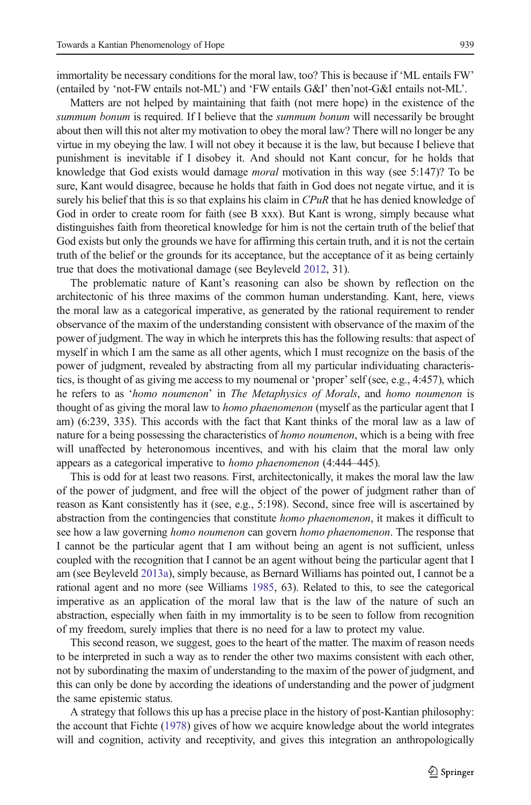immortality be necessary conditions for the moral law, too? This is because if 'ML entails FW' (entailed by 'not-FW entails not-ML') and 'FW entails G&I' then'not-G&I entails not-ML'.

Matters are not helped by maintaining that faith (not mere hope) in the existence of the summum bonum is required. If I believe that the *summum bonum* will necessarily be brought about then will this not alter my motivation to obey the moral law? There will no longer be any virtue in my obeying the law. I will not obey it because it is the law, but because I believe that punishment is inevitable if I disobey it. And should not Kant concur, for he holds that knowledge that God exists would damage *moral* motivation in this way (see 5:147)? To be sure, Kant would disagree, because he holds that faith in God does not negate virtue, and it is surely his belief that this is so that explains his claim in  $\mathbb{C}PuR$  that he has denied knowledge of God in order to create room for faith (see B xxx). But Kant is wrong, simply because what distinguishes faith from theoretical knowledge for him is not the certain truth of the belief that God exists but only the grounds we have for affirming this certain truth, and it is not the certain truth of the belief or the grounds for its acceptance, but the acceptance of it as being certainly true that does the motivational damage (see Beyleveld [2012](#page-14-0), 31).

The problematic nature of Kant's reasoning can also be shown by reflection on the architectonic of his three maxims of the common human understanding. Kant, here, views the moral law as a categorical imperative, as generated by the rational requirement to render observance of the maxim of the understanding consistent with observance of the maxim of the power of judgment. The way in which he interprets this has the following results: that aspect of myself in which I am the same as all other agents, which I must recognize on the basis of the power of judgment, revealed by abstracting from all my particular individuating characteristics, is thought of as giving me access to my noumenal or 'proper'self (see, e.g., 4:457), which he refers to as 'homo noumenon' in The Metaphysics of Morals, and homo noumenon is thought of as giving the moral law to *homo phaenomenon* (myself as the particular agent that I am) (6:239, 335). This accords with the fact that Kant thinks of the moral law as a law of nature for a being possessing the characteristics of *homo noumenon*, which is a being with free will unaffected by heteronomous incentives, and with his claim that the moral law only appears as a categorical imperative to homo phaenomenon (4:444–445).

This is odd for at least two reasons. First, architectonically, it makes the moral law the law of the power of judgment, and free will the object of the power of judgment rather than of reason as Kant consistently has it (see, e.g., 5:198). Second, since free will is ascertained by abstraction from the contingencies that constitute *homo phaenomenon*, it makes it difficult to see how a law governing *homo noumenon* can govern *homo phaenomenon*. The response that I cannot be the particular agent that I am without being an agent is not sufficient, unless coupled with the recognition that I cannot be an agent without being the particular agent that I am (see Beyleveld [2013a](#page-14-0)), simply because, as Bernard Williams has pointed out, I cannot be a rational agent and no more (see Williams [1985](#page-15-0), 63). Related to this, to see the categorical imperative as an application of the moral law that is the law of the nature of such an abstraction, especially when faith in my immortality is to be seen to follow from recognition of my freedom, surely implies that there is no need for a law to protect my value.

This second reason, we suggest, goes to the heart of the matter. The maxim of reason needs to be interpreted in such a way as to render the other two maxims consistent with each other, not by subordinating the maxim of understanding to the maxim of the power of judgment, and this can only be done by according the ideations of understanding and the power of judgment the same epistemic status.

A strategy that follows this up has a precise place in the history of post-Kantian philosophy: the account that Fichte [\(1978\)](#page-15-0) gives of how we acquire knowledge about the world integrates will and cognition, activity and receptivity, and gives this integration an anthropologically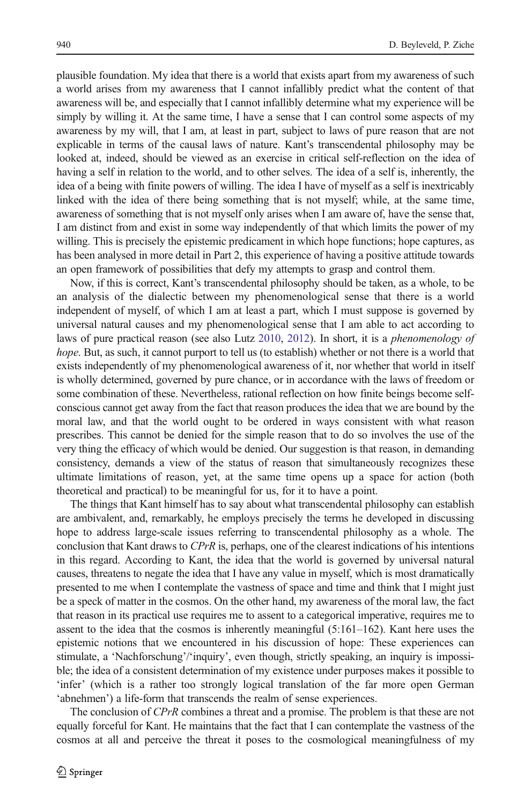plausible foundation. My idea that there is a world that exists apart from my awareness of such a world arises from my awareness that I cannot infallibly predict what the content of that awareness will be, and especially that I cannot infallibly determine what my experience will be simply by willing it. At the same time, I have a sense that I can control some aspects of my awareness by my will, that I am, at least in part, subject to laws of pure reason that are not explicable in terms of the causal laws of nature. Kant's transcendental philosophy may be looked at, indeed, should be viewed as an exercise in critical self-reflection on the idea of having a self in relation to the world, and to other selves. The idea of a self is, inherently, the idea of a being with finite powers of willing. The idea I have of myself as a self is inextricably linked with the idea of there being something that is not myself; while, at the same time, awareness of something that is not myself only arises when I am aware of, have the sense that, I am distinct from and exist in some way independently of that which limits the power of my willing. This is precisely the epistemic predicament in which hope functions; hope captures, as has been analysed in more detail in Part 2, this experience of having a positive attitude towards an open framework of possibilities that defy my attempts to grasp and control them.

Now, if this is correct, Kant's transcendental philosophy should be taken, as a whole, to be an analysis of the dialectic between my phenomenological sense that there is a world independent of myself, of which I am at least a part, which I must suppose is governed by universal natural causes and my phenomenological sense that I am able to act according to laws of pure practical reason (see also Lutz [2010](#page-15-0), [2012](#page-15-0)). In short, it is a *phenomenology of* hope. But, as such, it cannot purport to tell us (to establish) whether or not there is a world that exists independently of my phenomenological awareness of it, nor whether that world in itself is wholly determined, governed by pure chance, or in accordance with the laws of freedom or some combination of these. Nevertheless, rational reflection on how finite beings become selfconscious cannot get away from the fact that reason produces the idea that we are bound by the moral law, and that the world ought to be ordered in ways consistent with what reason prescribes. This cannot be denied for the simple reason that to do so involves the use of the very thing the efficacy of which would be denied. Our suggestion is that reason, in demanding consistency, demands a view of the status of reason that simultaneously recognizes these ultimate limitations of reason, yet, at the same time opens up a space for action (both theoretical and practical) to be meaningful for us, for it to have a point.

The things that Kant himself has to say about what transcendental philosophy can establish are ambivalent, and, remarkably, he employs precisely the terms he developed in discussing hope to address large-scale issues referring to transcendental philosophy as a whole. The conclusion that Kant draws to  $CPrR$  is, perhaps, one of the clearest indications of his intentions in this regard. According to Kant, the idea that the world is governed by universal natural causes, threatens to negate the idea that I have any value in myself, which is most dramatically presented to me when I contemplate the vastness of space and time and think that I might just be a speck of matter in the cosmos. On the other hand, my awareness of the moral law, the fact that reason in its practical use requires me to assent to a categorical imperative, requires me to assent to the idea that the cosmos is inherently meaningful (5:161–162). Kant here uses the epistemic notions that we encountered in his discussion of hope: These experiences can stimulate, a 'Nachforschung'/'inquiry', even though, strictly speaking, an inquiry is impossible; the idea of a consistent determination of my existence under purposes makes it possible to 'infer' (which is a rather too strongly logical translation of the far more open German 'abnehmen') a life-form that transcends the realm of sense experiences.

The conclusion of CPrR combines a threat and a promise. The problem is that these are not equally forceful for Kant. He maintains that the fact that I can contemplate the vastness of the cosmos at all and perceive the threat it poses to the cosmological meaningfulness of my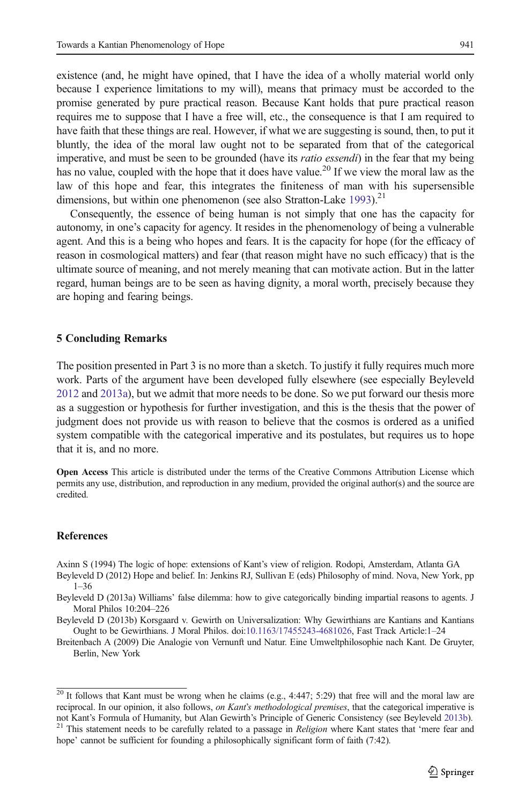<span id="page-14-0"></span>existence (and, he might have opined, that I have the idea of a wholly material world only because I experience limitations to my will), means that primacy must be accorded to the promise generated by pure practical reason. Because Kant holds that pure practical reason requires me to suppose that I have a free will, etc., the consequence is that I am required to have faith that these things are real. However, if what we are suggesting is sound, then, to put it bluntly, the idea of the moral law ought not to be separated from that of the categorical imperative, and must be seen to be grounded (have its *ratio essendi*) in the fear that my being has no value, coupled with the hope that it does have value.<sup>20</sup> If we view the moral law as the law of this hope and fear, this integrates the finiteness of man with his supersensible dimensions, but within one phenomenon (see also Stratton-Lake [1993](#page-15-0)).<sup>21</sup>

Consequently, the essence of being human is not simply that one has the capacity for autonomy, in one's capacity for agency. It resides in the phenomenology of being a vulnerable agent. And this is a being who hopes and fears. It is the capacity for hope (for the efficacy of reason in cosmological matters) and fear (that reason might have no such efficacy) that is the ultimate source of meaning, and not merely meaning that can motivate action. But in the latter regard, human beings are to be seen as having dignity, a moral worth, precisely because they are hoping and fearing beings.

#### 5 Concluding Remarks

The position presented in Part 3 is no more than a sketch. To justify it fully requires much more work. Parts of the argument have been developed fully elsewhere (see especially Beyleveld 2012 and 2013a), but we admit that more needs to be done. So we put forward our thesis more as a suggestion or hypothesis for further investigation, and this is the thesis that the power of judgment does not provide us with reason to believe that the cosmos is ordered as a unified system compatible with the categorical imperative and its postulates, but requires us to hope that it is, and no more.

Open Access This article is distributed under the terms of the Creative Commons Attribution License which permits any use, distribution, and reproduction in any medium, provided the original author(s) and the source are credited.

## **References**

Axinn S (1994) The logic of hope: extensions of Kant's view of religion. Rodopi, Amsterdam, Atlanta GA

- Beyleveld D (2012) Hope and belief. In: Jenkins RJ, Sullivan E (eds) Philosophy of mind. Nova, New York, pp 1–36
- Beyleveld D (2013a) Williams' false dilemma: how to give categorically binding impartial reasons to agents. J Moral Philos 10:204–226
- Beyleveld D (2013b) Korsgaard v. Gewirth on Universalization: Why Gewirthians are Kantians and Kantians Ought to be Gewirthians. J Moral Philos. doi:[10.1163/17455243-4681026](http://dx.doi.org/10.1163/17455243-4681026), Fast Track Article:1–24

Breitenbach A (2009) Die Analogie von Vernunft und Natur. Eine Umweltphilosophie nach Kant. De Gruyter, Berlin, New York

 $\frac{20 \text{ It follows that Kant must be wrong when he claims (e.g., 4:447; 5:29)}{20 \text{ It follows that Kant must be wrong when he claims (e.g., 4:447; 5:29)}$  that free will and the moral law are reciprocal. In our opinion, it also follows, on Kant's methodological premises, that the categorical imperative is not Kant's Formula of Humanity, but Alan Gewirth's Principle of Generic Consistency (see Beyleveld 2013b). <sup>21</sup> This statement needs to be carefully related to a passage in Religion where Kant states that 'mere fear and

hope' cannot be sufficient for founding a philosophically significant form of faith (7:42).